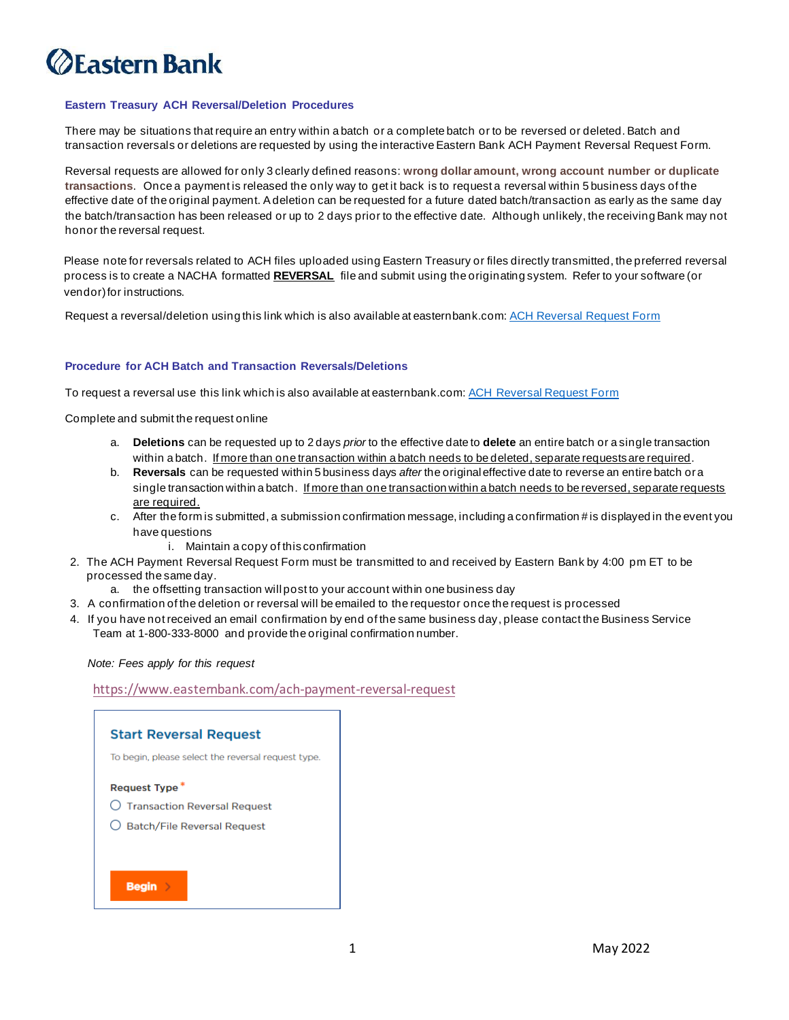# *<u>DEastern Bank</u>*

#### **Eastern Treasury ACH Reversal/Deletion Procedures**

There may be situations that require an entry within a batch or a complete batch or to be reversed or deleted. Batch and transaction reversals or deletions are requested by using the interactive Eastern Bank ACH Payment Reversal Request Form.

Reversal requests are allowed for only 3 clearly defined reasons: **wrong dollar amount, wrong account number or duplicate transactions**. Once a payment is released the only way to get it back is to request a reversal within 5 business days of the effective date of the original payment. A deletion can be requested for a future dated batch/transaction as early as the same day the batch/transaction has been released or up to 2 days prior to the effective date. Although unlikely, the receiving Bank may not honor the reversal request.

Please note for reversals related to ACH files uploaded using Eastern Treasury or files directly transmitted, the preferred reversal process is to create a NACHA formatted **REVERSAL** file and submit using the originating system. Refer to your software (or vendor) for instructions.

Request a reversal/deletion using this link which is also available at easternbank.com[: ACH Reversal Request Form](https://www.easternbank.com/ach-payment-reversal-request)

#### **Procedure for ACH Batch and Transaction Reversals/Deletions**

To request a reversal use this link which is also available at easternbank.com[: ACH Reversal Request Form](https://www.easternbank.com/ach-payment-reversal-request)

Complete and submit the request online

- a. **Deletions** can be requested up to 2 days *prior* to the effective date to **delete** an entire batch or a single transaction within a batch. If more than one transaction within a batch needs to be deleted, separate requests are required.
- b. **Reversals** can be requested within 5 business days *after* the original effective date to reverse an entire batch or a single transaction within a batch. If more than one transaction within a batch needs to be reversed, separate requests are required.
- c. After the form is submitted, a submission confirmation message, including a confirmation # is displayed in the event you have questions
	- i. Maintain a copy of this confirmation
- 2. The ACH Payment Reversal Request Form must be transmitted to and received by Eastern Bank by 4:00 pm ET to be processed the same day.
	- a. the offsetting transaction will post to your account within one business day
- 3. A confirmation of the deletion or reversal will be emailed to the requestor once the request is processed
- 4. If you have not received an email confirmation by end of the same business day, please contact the Business Service Team at 1-800-333-8000 and provide the original confirmation number.

*Note: Fees apply for this request*

<https://www.easternbank.com/ach-payment-reversal-request>

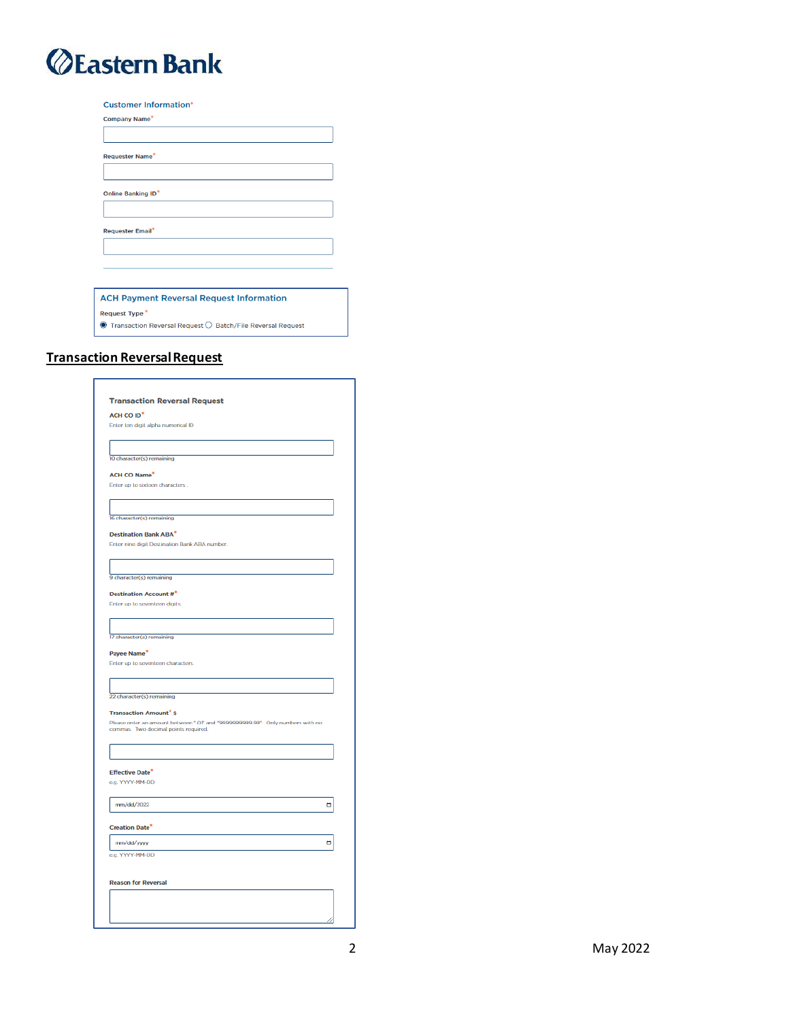## *<u>@Eastern Bank</u>*

| <b>Customer Information*</b>                    |
|-------------------------------------------------|
| Company Name*                                   |
|                                                 |
| <b>Requester Name*</b>                          |
|                                                 |
| Online Banking ID*                              |
|                                                 |
| <b>Requester Email*</b>                         |
|                                                 |
|                                                 |
|                                                 |
| <b>ACH Payment Reversal Request Information</b> |

Request Type<sup>\*</sup>

 $\bullet$  Transaction Reversal Request  $\circlearrowright$  Batch/File Reversal Request

### **Transaction Reversal Request**

| ACH CO ID <sup>*</sup>                                                                                                 |   |
|------------------------------------------------------------------------------------------------------------------------|---|
| Enter ten digit alpha numerical ID                                                                                     |   |
|                                                                                                                        |   |
|                                                                                                                        |   |
| 10 character(s) remaining                                                                                              |   |
| <b>ACH CO Name*</b>                                                                                                    |   |
| Enter up to sixteen characters.                                                                                        |   |
|                                                                                                                        |   |
|                                                                                                                        |   |
| 16 character(s) remaining                                                                                              |   |
| <b>Destination Bank ABA*</b>                                                                                           |   |
| Enter nine digit Destination Bank ABA number.                                                                          |   |
|                                                                                                                        |   |
|                                                                                                                        |   |
| 9 character(s) remaining                                                                                               |   |
| <b>Destination Account #*</b>                                                                                          |   |
| Enter up to seventeen digits.                                                                                          |   |
|                                                                                                                        |   |
|                                                                                                                        |   |
| 17 character(s) remaining                                                                                              |   |
| Payee Name*                                                                                                            |   |
| Enter up to seventeen characters.                                                                                      |   |
|                                                                                                                        |   |
| 22 character(s) remaining                                                                                              |   |
|                                                                                                                        |   |
| <b>Transaction Amount<sup>*</sup> \$</b>                                                                               |   |
| Please enter an amount between ".01" and "9999999999.99". Only numbers with no<br>commas. Two decimal points required. |   |
|                                                                                                                        |   |
|                                                                                                                        |   |
|                                                                                                                        |   |
| <b>Effective Date*</b><br>e.g. YYYY-MM-DD                                                                              |   |
|                                                                                                                        |   |
| mm/dd/2022                                                                                                             | ۰ |
|                                                                                                                        |   |
| <b>Creation Date<sup>*</sup></b>                                                                                       |   |
| mm/dd/yyyy                                                                                                             | ۰ |
| e.g. YYYY-MM-DD                                                                                                        |   |
|                                                                                                                        |   |
|                                                                                                                        |   |
| <b>Reason for Reversal</b>                                                                                             |   |
|                                                                                                                        |   |
|                                                                                                                        |   |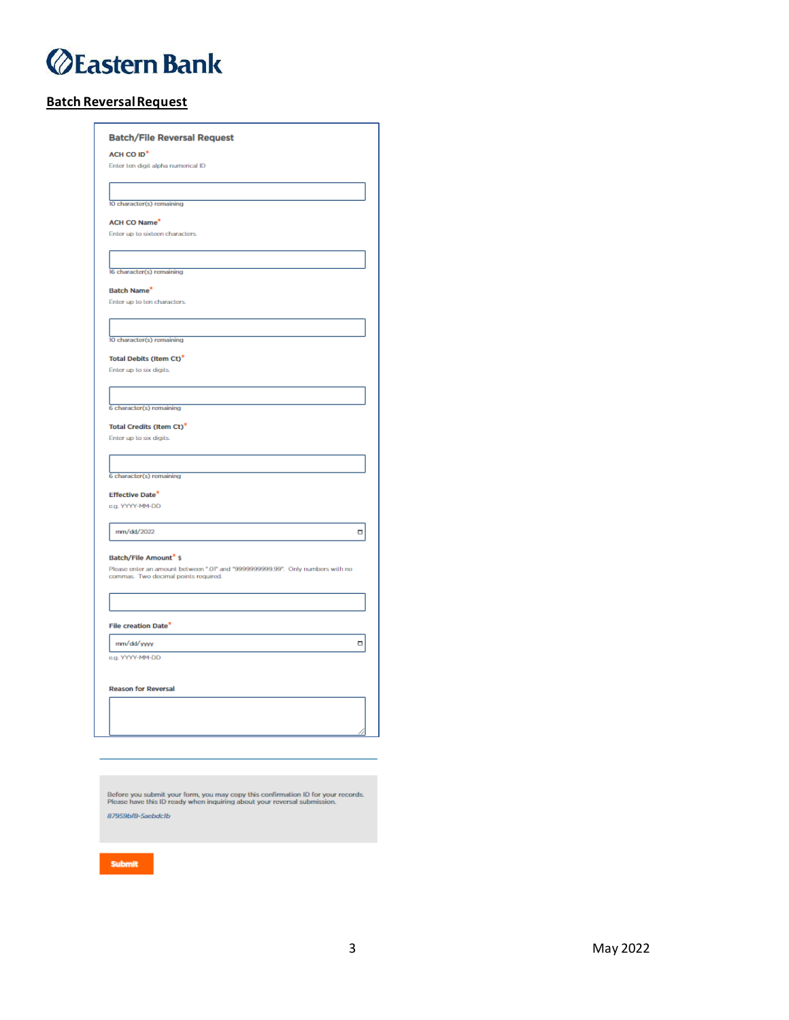## *<u>@Eastern Bank</u>*

### **Batch Reversal Request**

| <b>Batch/File Reversal Request</b>                                                                                  |   |
|---------------------------------------------------------------------------------------------------------------------|---|
| ACH CO ID <sup>*</sup>                                                                                              |   |
| Enter ten digit alpha numerical ID                                                                                  |   |
|                                                                                                                     |   |
| 10 character(s) remaining                                                                                           |   |
|                                                                                                                     |   |
| <b>ACH CO Name*</b>                                                                                                 |   |
| Enter up to sixteen characters.                                                                                     |   |
|                                                                                                                     |   |
|                                                                                                                     |   |
| 16 character(s) remaining                                                                                           |   |
| <b>Batch Name*</b>                                                                                                  |   |
| Enter up to ten characters.                                                                                         |   |
|                                                                                                                     |   |
|                                                                                                                     |   |
| 10 character(s) remaining                                                                                           |   |
| <b>Total Debits (Item Ct)*</b>                                                                                      |   |
| Enter up to six digits.                                                                                             |   |
|                                                                                                                     |   |
|                                                                                                                     |   |
| 6 character(s) remaining                                                                                            |   |
| <b>Total Credits (Item Ct)*</b>                                                                                     |   |
| Enter up to six digits.                                                                                             |   |
|                                                                                                                     |   |
|                                                                                                                     |   |
| 6 character(s) remaining                                                                                            |   |
| <b>Effective Date*</b>                                                                                              |   |
| e.g. YYYY-MM-DD                                                                                                     |   |
|                                                                                                                     |   |
| mm/dd/2022                                                                                                          | Ö |
|                                                                                                                     |   |
| Batch/File Amount <sup>*</sup> \$<br>Please enter an amount between ".01" and "9999999999.99". Only numbers with no |   |
| commas. Two decimal points required.                                                                                |   |
|                                                                                                                     |   |
|                                                                                                                     |   |
|                                                                                                                     |   |
| File creation Date*                                                                                                 |   |
| mm/dd/yyyy                                                                                                          | □ |
| e.g. YYYY-MM-DD                                                                                                     |   |
|                                                                                                                     |   |
| <b>Reason for Reversal</b>                                                                                          |   |
|                                                                                                                     |   |
|                                                                                                                     |   |
|                                                                                                                     |   |
|                                                                                                                     |   |

Before you submit your form, you may copy this confirmation ID for your records.<br>Please have this ID ready when inquiring about your reversal submission.

87959bf8-5aebdclb

Submit